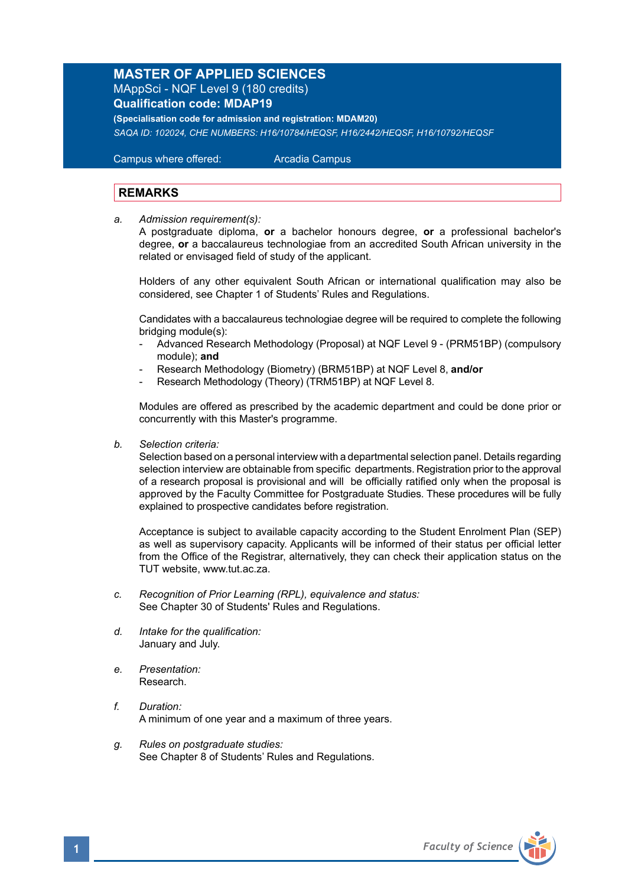## **MASTER OF APPLIED SCIENCES**

MAppSci - NQF Level 9 (180 credits) **Qualification code: MDAP19** 

**(Specialisation code for admission and registration: MDAM20)** *SAQA ID: 102024, CHE NUMBERS: H16/10784/HEQSF, H16/2442/HEQSF, H16/10792/HEQSF* 

 Campus where offered: Arcadia Campus

## **REMARKS**

*a. Admission requirement(s):* 

A postgraduate diploma, **or** a bachelor honours degree, **or** a professional bachelor's degree, **or** a baccalaureus technologiae from an accredited South African university in the related or envisaged field of study of the applicant.

 Holders of any other equivalent South African or international qualification may also be considered, see Chapter 1 of Students' Rules and Regulations.

 Candidates with a baccalaureus technologiae degree will be required to complete the following bridging module(s):

- Advanced Research Methodology (Proposal) at NQF Level 9 (PRM51BP) (compulsory module); **and**
- Research Methodology (Biometry) (BRM51BP) at NQF Level 8, **and/or**
- Research Methodology (Theory) (TRM51BP) at NQF Level 8.

Modules are offered as prescribed by the academic department and could be done prior or concurrently with this Master's programme.

*b. Selection criteria:*

Selection based on a personal interview with a departmental selection panel. Details regarding selection interview are obtainable from specific departments. Registration prior to the approval of a research proposal is provisional and will be officially ratified only when the proposal is approved by the Faculty Committee for Postgraduate Studies. These procedures will be fully explained to prospective candidates before registration.

Acceptance is subject to available capacity according to the Student Enrolment Plan (SEP) as well as supervisory capacity. Applicants will be informed of their status per official letter from the Office of the Registrar, alternatively, they can check their application status on the TUT website, www.tut.ac.za.

- *c. Recognition of Prior Learning (RPL), equivalence and status:* See Chapter 30 of Students' Rules and Regulations.
- *d. Intake for the qualification:* January and July.
- *e. Presentation:* Research.
- *f. Duration:*  A minimum of one year and a maximum of three years.
- *g. Rules on postgraduate studies:* See Chapter 8 of Students' Rules and Regulations.